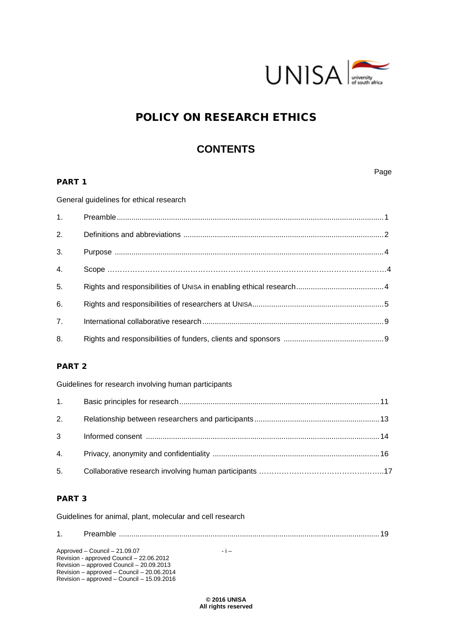

# POLICY ON RESEARCH ETHICS

# **CONTENTS**

# PART 1

Page

General guidelines for ethical research

| 3. |  |
|----|--|
| 4. |  |
| 5. |  |
| 6. |  |
| 7. |  |
| 8. |  |

# PART 2

Guidelines for research involving human participants

| 2. |  |
|----|--|
|    |  |
|    |  |
|    |  |

# PART 3

Guidelines for animal, plant, molecular and cell research

Approved – Council – 21.09.07 - i – Revision - approved Council – 22.06.2012 Revision – approved Council – 20.09.2013 Revision – approved – Council – 20.06.2014 Revision – approved – Council – 15.09.2016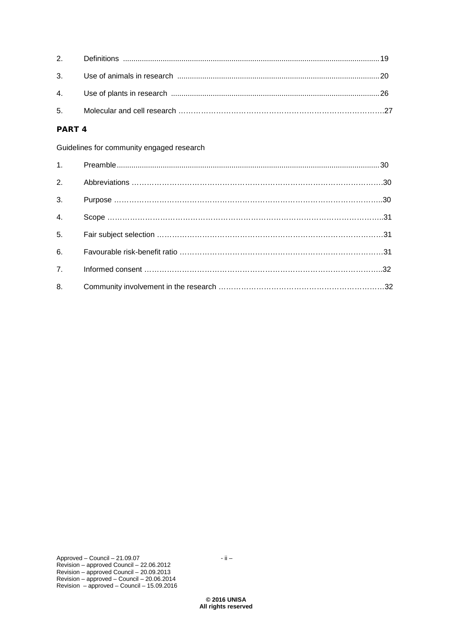# PART 4

Guidelines for community engaged research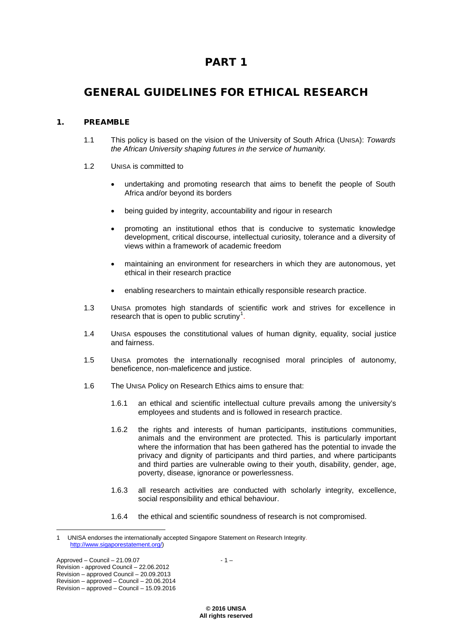# PART 1

# GENERAL GUIDELINES FOR ETHICAL RESEARCH

# 1. PREAMBLE

- 1.1 This policy is based on the vision of the University of South Africa (UNISA): *Towards the African University shaping futures in the service of humanity.*
- 1.2 UNISA is committed to
	- undertaking and promoting research that aims to benefit the people of South Africa and/or beyond its borders
	- being guided by integrity, accountability and rigour in research
	- promoting an institutional ethos that is conducive to systematic knowledge development, critical discourse, intellectual curiosity, tolerance and a diversity of views within a framework of academic freedom
	- maintaining an environment for researchers in which they are autonomous, yet ethical in their research practice
	- enabling researchers to maintain ethically responsible research practice.
- 1.3 UNISA promotes high standards of scientific work and strives for excellence in research that is open to public scrutiny $<sup>1</sup>$  $<sup>1</sup>$  $<sup>1</sup>$ .</sup>
- 1.4 UNISA espouses the constitutional values of human dignity, equality, social justice and fairness.
- 1.5 UNISA promotes the internationally recognised moral principles of autonomy, beneficence, non-maleficence and justice.
- 1.6 The UNISA Policy on Research Ethics aims to ensure that:
	- 1.6.1 an ethical and scientific intellectual culture prevails among the university's employees and students and is followed in research practice.
	- 1.6.2 the rights and interests of human participants, institutions communities, animals and the environment are protected. This is particularly important where the information that has been gathered has the potential to invade the privacy and dignity of participants and third parties, and where participants and third parties are vulnerable owing to their youth, disability, gender, age, poverty, disease, ignorance or powerlessness.
	- 1.6.3 all research activities are conducted with scholarly integrity, excellence, social responsibility and ethical behaviour.
	- 1.6.4 the ethical and scientific soundness of research is not compromised.

<span id="page-2-0"></span> $\overline{a}$ 1 UNISA endorses the internationally accepted Singapore Statement on Research Integrity. [http://www.sigaporestatement.org/\)](http://www.sigaporestatement.org/)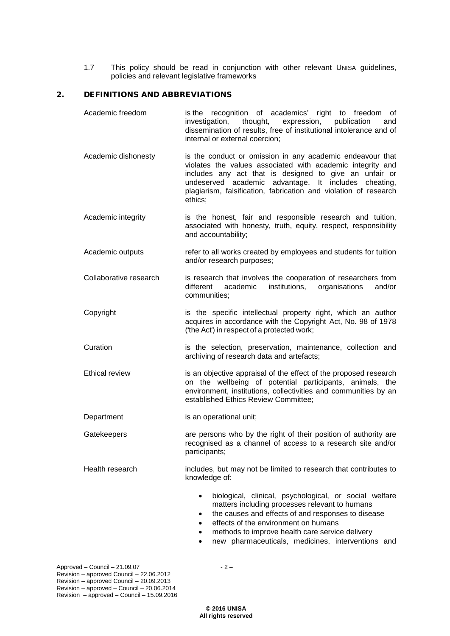1.7 This policy should be read in conjunction with other relevant UNISA guidelines, policies and relevant legislative frameworks

## 2. DEFINITIONS AND ABBREVIATIONS

- Academic freedom is the recognition of academics' right to freedom of<br>investigation, thought, expression, publication and investigation, thought, expression, publication and dissemination of results, free of institutional intolerance and of internal or external coercion;
- Academic dishonesty is the conduct or omission in any academic endeavour that violates the values associated with academic integrity and includes any act that is designed to give an unfair or undeserved academic advantage. It includes cheating, plagiarism, falsification, fabrication and violation of research ethics;
- Academic integrity is the honest, fair and responsible research and tuition, associated with honesty, truth, equity, respect, responsibility and accountability;
- Academic outputs refer to all works created by employees and students for tuition and/or research purposes;
- Collaborative research is research that involves the cooperation of researchers from different academic institutions, organisations and/or communities;
- Copyright is the specific intellectual property right, which an author acquires in accordance with the Copyright Act, No. 98 of 1978 ("the Act") in respect of a protected work;
- Curation **is the selection, preservation, maintenance, collection and** archiving of research data and artefacts;
- Ethical review is an objective appraisal of the effect of the proposed research on the wellbeing of potential participants, animals, the environment, institutions, collectivities and communities by an established Ethics Review Committee;
- Department is an operational unit;
- Gatekeepers **are persons** who by the right of their position of authority are recognised as a channel of access to a research site and/or participants;
- Health research includes, but may not be limited to research that contributes to knowledge of:
	- biological, clinical, psychological, or social welfare matters including processes relevant to humans
	- the causes and effects of and responses to disease
	- effects of the environment on humans
	- methods to improve health care service delivery
	- new pharmaceuticals, medicines, interventions and

Approved – Council –  $21.09.07$  - 2 – Revision – approved Council – 22.06.2012 Revision – approved Council – 20.09.2013 Revision – approved – Council – 20.06.2014 Revision – approved – Council – 15.09.2016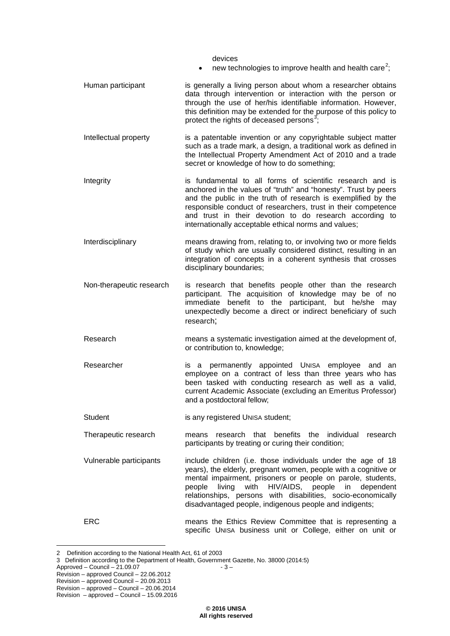devices

- new technologies to improve health and health care<sup>[2](#page-4-0)</sup>;
- Human participant is generally a living person about whom a researcher obtains data through intervention or interaction with the person or through the use of her/his identifiable information. However, this definition may be extended for the purpose of this policy to protect the rights of deceased persons<sup>[3](#page-4-1)</sup>;
- Intellectual property is a patentable invention or any copyrightable subject matter such as a trade mark, a design, a traditional work as defined in the Intellectual Property Amendment Act of 2010 and a trade secret or knowledge of how to do something;
- Integrity is fundamental to all forms of scientific research and is anchored in the values of "truth" and "honesty". Trust by peers and the public in the truth of research is exemplified by the responsible conduct of researchers, trust in their competence and trust in their devotion to do research according to internationally acceptable ethical norms and values;
- Interdisciplinary means drawing from, relating to, or involving two or more fields of study which are usually considered distinct, resulting in an integration of concepts in a coherent synthesis that crosses disciplinary boundaries;
- Non-therapeutic research is research that benefits people other than the research participant. The acquisition of knowledge may be of no immediate benefit to the participant, but he/she may unexpectedly become a direct or indirect beneficiary of such research;
- Research means a systematic investigation aimed at the development of, or contribution to, knowledge;
- Researcher **is a permanently appointed UNISA employee and an** employee on a contract of less than three years who has been tasked with conducting research as well as a valid, current Academic Associate (excluding an Emeritus Professor) and a postdoctoral fellow;
- Student is any registered UNISA student;
- Therapeutic research means research that benefits the individual research participants by treating or curing their condition;
- Vulnerable participants include children (i.e. those individuals under the age of 18 years), the elderly, pregnant women, people with a cognitive or mental impairment, prisoners or people on parole, students, people living with HIV/AIDS, people in dependent relationships, persons with disabilities, socio-economically disadvantaged people, indigenous people and indigents;
- ERC means the Ethics Review Committee that is representing a specific UNISA business unit or College, either on unit or

 $\Delta p$ proved – Council – 21.09.07  $-$  3 –

 $\overline{a}$ 

<span id="page-4-1"></span><span id="page-4-0"></span><sup>2</sup> Definition according to the National Health Act, 61 of 2003

<sup>3</sup> Definition according to the Department of Health, Government Gazette, No. 38000 (2014:5)

Revision – approved Council – 22.06.2012

Revision – approved Council – 20.09.2013

Revision – approved – Council – 20.06.2014

Revision – approved – Council – 15.09.2016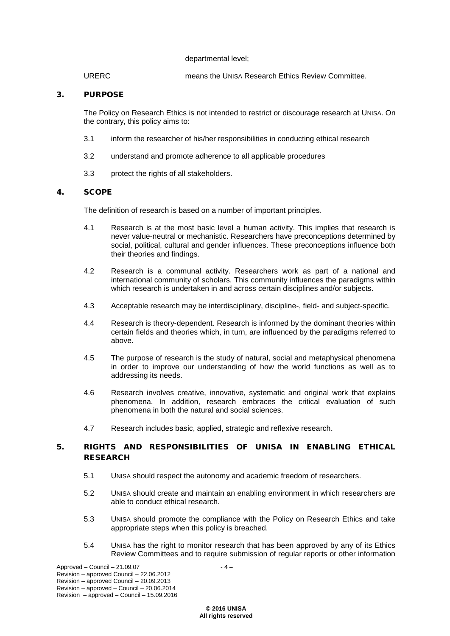#### departmental level;

URERC means the UNISA Research Ethics Review Committee.

# 3. PURPOSE

The Policy on Research Ethics is not intended to restrict or discourage research at UNISA. On the contrary, this policy aims to:

- 3.1 inform the researcher of his/her responsibilities in conducting ethical research
- 3.2 understand and promote adherence to all applicable procedures
- 3.3 protect the rights of all stakeholders.

# 4. SCOPE

The definition of research is based on a number of important principles.

- 4.1 Research is at the most basic level a human activity. This implies that research is never value-neutral or mechanistic. Researchers have preconceptions determined by social, political, cultural and gender influences. These preconceptions influence both their theories and findings.
- 4.2 Research is a communal activity. Researchers work as part of a national and international community of scholars. This community influences the paradigms within which research is undertaken in and across certain disciplines and/or subjects.
- 4.3 Acceptable research may be interdisciplinary, discipline-, field- and subject-specific.
- 4.4 Research is theory-dependent. Research is informed by the dominant theories within certain fields and theories which, in turn, are influenced by the paradigms referred to above.
- 4.5 The purpose of research is the study of natural, social and metaphysical phenomena in order to improve our understanding of how the world functions as well as to addressing its needs.
- 4.6 Research involves creative, innovative, systematic and original work that explains phenomena. In addition, research embraces the critical evaluation of such phenomena in both the natural and social sciences.
- 4.7 Research includes basic, applied, strategic and reflexive research.

# 5. RIGHTS AND RESPONSIBILITIES OF UNISA IN ENABLING ETHICAL RESEARCH

- 5.1 UNISA should respect the autonomy and academic freedom of researchers.
- 5.2 UNISA should create and maintain an enabling environment in which researchers are able to conduct ethical research.
- 5.3 UNISA should promote the compliance with the Policy on Research Ethics and take appropriate steps when this policy is breached.
- 5.4 UNISA has the right to monitor research that has been approved by any of its Ethics Review Committees and to require submission of regular reports or other information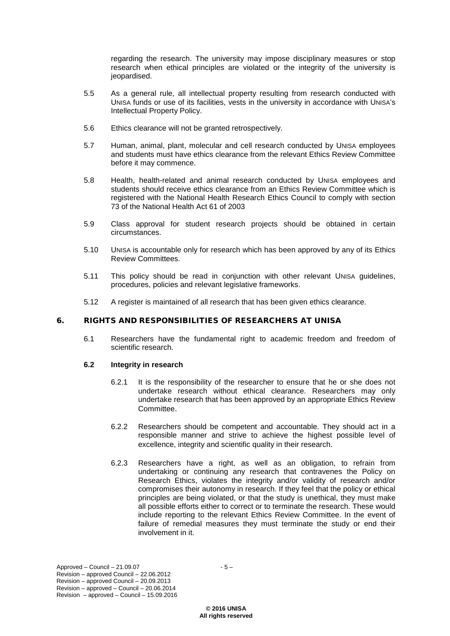regarding the research. The university may impose disciplinary measures or stop research when ethical principles are violated or the integrity of the university is jeopardised.

- 5.5 As a general rule, all intellectual property resulting from research conducted with UNISA funds or use of its facilities, vests in the university in accordance with UNISA's Intellectual Property Policy.
- 5.6 Ethics clearance will not be granted retrospectively.
- 5.7 Human, animal, plant, molecular and cell research conducted by UNISA employees and students must have ethics clearance from the relevant Ethics Review Committee before it may commence.
- 5.8 Health, health-related and animal research conducted by UNISA employees and students should receive ethics clearance from an Ethics Review Committee which is registered with the National Health Research Ethics Council to comply with section 73 of the National Health Act 61 of 2003
- 5.9 Class approval for student research projects should be obtained in certain circumstances.
- 5.10 UNISA is accountable only for research which has been approved by any of its Ethics Review Committees.
- 5.11 This policy should be read in conjunction with other relevant UNISA guidelines, procedures, policies and relevant legislative frameworks.
- 5.12 A register is maintained of all research that has been given ethics clearance.

# 6. RIGHTS AND RESPONSIBILITIES OF RESEARCHERS AT UNISA

6.1 Researchers have the fundamental right to academic freedom and freedom of scientific research.

#### **6.2 Integrity in research**

- 6.2.1 It is the responsibility of the researcher to ensure that he or she does not undertake research without ethical clearance. Researchers may only undertake research that has been approved by an appropriate Ethics Review Committee.
- 6.2.2 Researchers should be competent and accountable. They should act in a responsible manner and strive to achieve the highest possible level of excellence, integrity and scientific quality in their research.
- 6.2.3 Researchers have a right, as well as an obligation, to refrain from undertaking or continuing any research that contravenes the Policy on Research Ethics, violates the integrity and/or validity of research and/or compromises their autonomy in research. If they feel that the policy or ethical principles are being violated, or that the study is unethical, they must make all possible efforts either to correct or to terminate the research. These would include reporting to the relevant Ethics Review Committee. In the event of failure of remedial measures they must terminate the study or end their involvement in it.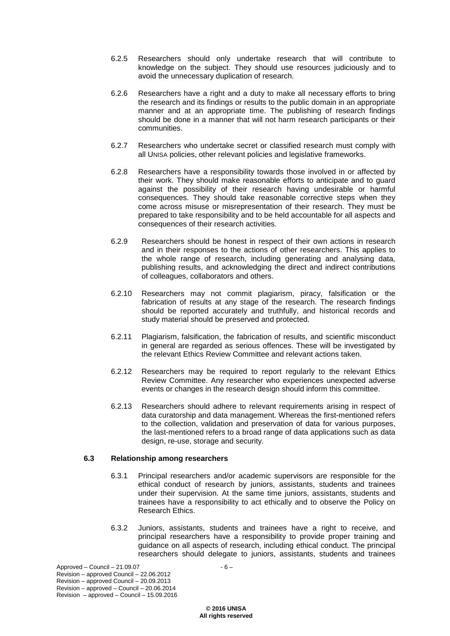- 6.2.5 Researchers should only undertake research that will contribute to knowledge on the subject. They should use resources judiciously and to avoid the unnecessary duplication of research.
- 6.2.6 Researchers have a right and a duty to make all necessary efforts to bring the research and its findings or results to the public domain in an appropriate manner and at an appropriate time. The publishing of research findings should be done in a manner that will not harm research participants or their communities.
- 6.2.7 Researchers who undertake secret or classified research must comply with all UNISA policies, other relevant policies and legislative frameworks.
- 6.2.8 Researchers have a responsibility towards those involved in or affected by their work. They should make reasonable efforts to anticipate and to guard against the possibility of their research having undesirable or harmful consequences. They should take reasonable corrective steps when they come across misuse or misrepresentation of their research. They must be prepared to take responsibility and to be held accountable for all aspects and consequences of their research activities.
- 6.2.9 Researchers should be honest in respect of their own actions in research and in their responses to the actions of other researchers. This applies to the whole range of research, including generating and analysing data, publishing results, and acknowledging the direct and indirect contributions of colleagues, collaborators and others.
- 6.2.10 Researchers may not commit plagiarism, piracy, falsification or the fabrication of results at any stage of the research. The research findings should be reported accurately and truthfully, and historical records and study material should be preserved and protected.
- 6.2.11 Plagiarism, falsification, the fabrication of results, and scientific misconduct in general are regarded as serious offences. These will be investigated by the relevant Ethics Review Committee and relevant actions taken.
- 6.2.12 Researchers may be required to report regularly to the relevant Ethics Review Committee. Any researcher who experiences unexpected adverse events or changes in the research design should inform this committee.
- 6.2.13 Researchers should adhere to relevant requirements arising in respect of data curatorship and data management. Whereas the first-mentioned refers to the collection, validation and preservation of data for various purposes, the last-mentioned refers to a broad range of data applications such as data design, re-use, storage and security.

# **6.3 Relationship among researchers**

- 6.3.1 Principal researchers and/or academic supervisors are responsible for the ethical conduct of research by juniors, assistants, students and trainees under their supervision. At the same time juniors, assistants, students and trainees have a responsibility to act ethically and to observe the Policy on Research Ethics.
- 6.3.2 Juniors, assistants, students and trainees have a right to receive, and principal researchers have a responsibility to provide proper training and guidance on all aspects of research, including ethical conduct. The principal researchers should delegate to juniors, assistants, students and trainees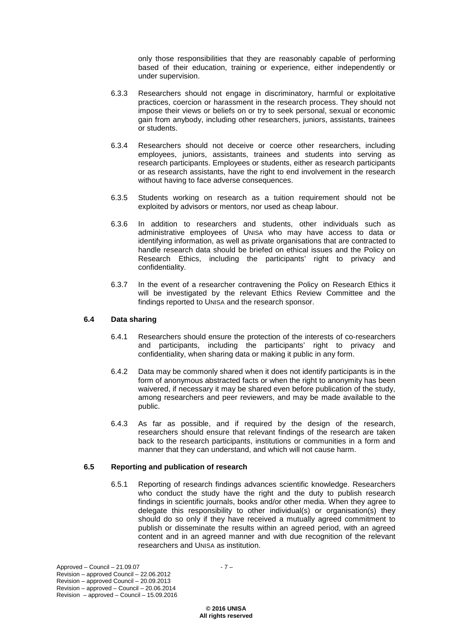only those responsibilities that they are reasonably capable of performing based of their education, training or experience, either independently or under supervision.

- 6.3.3 Researchers should not engage in discriminatory, harmful or exploitative practices, coercion or harassment in the research process. They should not impose their views or beliefs on or try to seek personal, sexual or economic gain from anybody, including other researchers, juniors, assistants, trainees or students.
- 6.3.4 Researchers should not deceive or coerce other researchers, including employees, juniors, assistants, trainees and students into serving as research participants. Employees or students, either as research participants or as research assistants, have the right to end involvement in the research without having to face adverse consequences.
- 6.3.5 Students working on research as a tuition requirement should not be exploited by advisors or mentors, nor used as cheap labour.
- 6.3.6 In addition to researchers and students, other individuals such as administrative employees of UNISA who may have access to data or identifying information, as well as private organisations that are contracted to handle research data should be briefed on ethical issues and the Policy on Research Ethics, including the participants' right to privacy and confidentiality.
- 6.3.7 In the event of a researcher contravening the Policy on Research Ethics it will be investigated by the relevant Ethics Review Committee and the findings reported to UNISA and the research sponsor.

# **6.4 Data sharing**

- 6.4.1 Researchers should ensure the protection of the interests of co-researchers and participants, including the participants' right to privacy and confidentiality, when sharing data or making it public in any form.
- 6.4.2 Data may be commonly shared when it does not identify participants is in the form of anonymous abstracted facts or when the right to anonymity has been waivered, if necessary it may be shared even before publication of the study, among researchers and peer reviewers, and may be made available to the public.
- 6.4.3 As far as possible, and if required by the design of the research, researchers should ensure that relevant findings of the research are taken back to the research participants, institutions or communities in a form and manner that they can understand, and which will not cause harm.

# **6.5 Reporting and publication of research**

6.5.1 Reporting of research findings advances scientific knowledge. Researchers who conduct the study have the right and the duty to publish research findings in scientific journals, books and/or other media. When they agree to delegate this responsibility to other individual(s) or organisation(s) they should do so only if they have received a mutually agreed commitment to publish or disseminate the results within an agreed period, with an agreed content and in an agreed manner and with due recognition of the relevant researchers and UNISA as institution.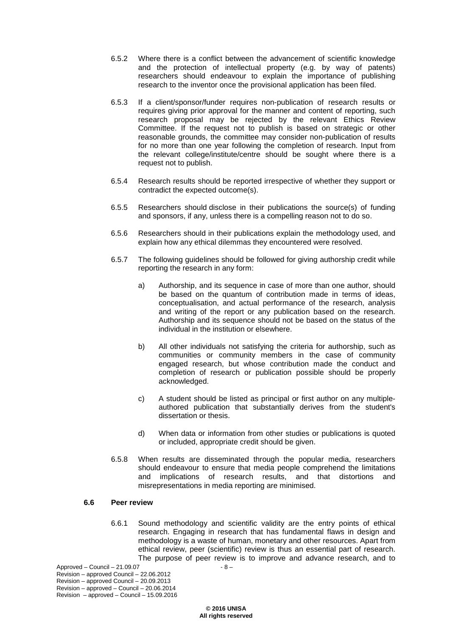- 6.5.2 Where there is a conflict between the advancement of scientific knowledge and the protection of intellectual property (e.g. by way of patents) researchers should endeavour to explain the importance of publishing research to the inventor once the provisional application has been filed.
- 6.5.3 If a client/sponsor/funder requires non-publication of research results or requires giving prior approval for the manner and content of reporting, such research proposal may be rejected by the relevant Ethics Review Committee. If the request not to publish is based on strategic or other reasonable grounds, the committee may consider non-publication of results for no more than one year following the completion of research. Input from the relevant college/institute/centre should be sought where there is a request not to publish.
- 6.5.4 Research results should be reported irrespective of whether they support or contradict the expected outcome(s).
- 6.5.5 Researchers should disclose in their publications the source(s) of funding and sponsors, if any, unless there is a compelling reason not to do so.
- 6.5.6 Researchers should in their publications explain the methodology used, and explain how any ethical dilemmas they encountered were resolved.
- 6.5.7 The following guidelines should be followed for giving authorship credit while reporting the research in any form:
	- a) Authorship, and its sequence in case of more than one author, should be based on the quantum of contribution made in terms of ideas, conceptualisation, and actual performance of the research, analysis and writing of the report or any publication based on the research. Authorship and its sequence should not be based on the status of the individual in the institution or elsewhere.
	- b) All other individuals not satisfying the criteria for authorship, such as communities or community members in the case of community engaged research, but whose contribution made the conduct and completion of research or publication possible should be properly acknowledged.
	- c) A student should be listed as principal or first author on any multipleauthored publication that substantially derives from the student's dissertation or thesis.
	- d) When data or information from other studies or publications is quoted or included, appropriate credit should be given.
- 6.5.8 When results are disseminated through the popular media, researchers should endeavour to ensure that media people comprehend the limitations and implications of research results, and that distortions and misrepresentations in media reporting are minimised.

#### **6.6 Peer review**

6.6.1 Sound methodology and scientific validity are the entry points of ethical research. Engaging in research that has fundamental flaws in design and methodology is a waste of human, monetary and other resources. Apart from ethical review, peer (scientific) review is thus an essential part of research. The purpose of peer review is to improve and advance research, and to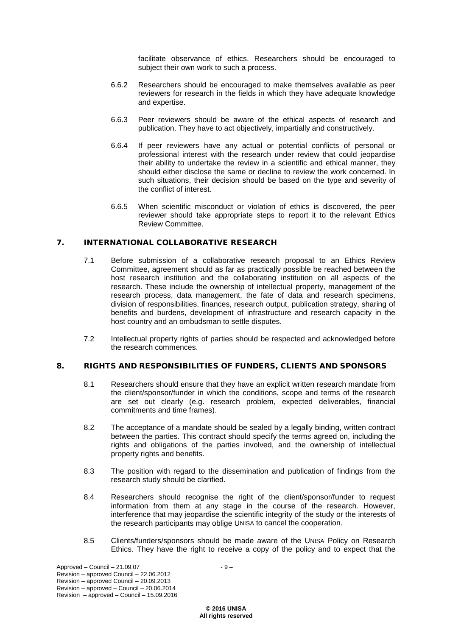facilitate observance of ethics. Researchers should be encouraged to subject their own work to such a process.

- 6.6.2 Researchers should be encouraged to make themselves available as peer reviewers for research in the fields in which they have adequate knowledge and expertise.
- 6.6.3 Peer reviewers should be aware of the ethical aspects of research and publication. They have to act objectively, impartially and constructively.
- 6.6.4 If peer reviewers have any actual or potential conflicts of personal or professional interest with the research under review that could jeopardise their ability to undertake the review in a scientific and ethical manner, they should either disclose the same or decline to review the work concerned. In such situations, their decision should be based on the type and severity of the conflict of interest.
- 6.6.5 When scientific misconduct or violation of ethics is discovered, the peer reviewer should take appropriate steps to report it to the relevant Ethics Review Committee.

## 7. INTERNATIONAL COLLABORATIVE RESEARCH

- 7.1 Before submission of a collaborative research proposal to an Ethics Review Committee, agreement should as far as practically possible be reached between the host research institution and the collaborating institution on all aspects of the research. These include the ownership of intellectual property, management of the research process, data management, the fate of data and research specimens, division of responsibilities, finances, research output, publication strategy, sharing of benefits and burdens, development of infrastructure and research capacity in the host country and an ombudsman to settle disputes.
- 7.2 Intellectual property rights of parties should be respected and acknowledged before the research commences.

#### 8. RIGHTS AND RESPONSIBILITIES OF FUNDERS, CLIENTS AND SPONSORS

- 8.1 Researchers should ensure that they have an explicit written research mandate from the client/sponsor/funder in which the conditions, scope and terms of the research are set out clearly (e.g. research problem, expected deliverables, financial commitments and time frames).
- 8.2 The acceptance of a mandate should be sealed by a legally binding, written contract between the parties. This contract should specify the terms agreed on, including the rights and obligations of the parties involved, and the ownership of intellectual property rights and benefits.
- 8.3 The position with regard to the dissemination and publication of findings from the research study should be clarified.
- 8.4 Researchers should recognise the right of the client/sponsor/funder to request information from them at any stage in the course of the research. However, interference that may jeopardise the scientific integrity of the study or the interests of the research participants may oblige UNISA to cancel the cooperation.
- 8.5 Clients/funders/sponsors should be made aware of the UNISA Policy on Research Ethics. They have the right to receive a copy of the policy and to expect that the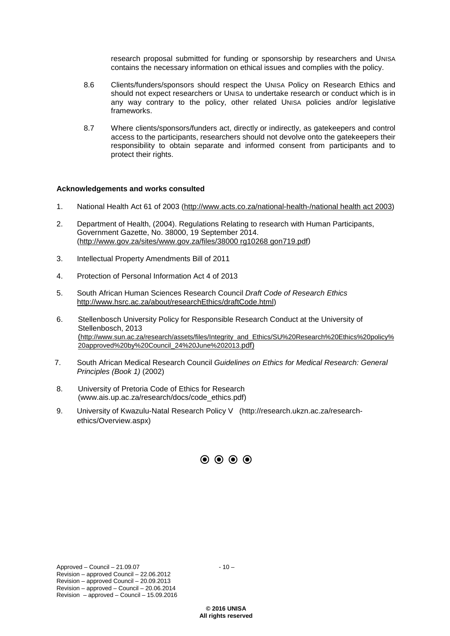research proposal submitted for funding or sponsorship by researchers and UNISA contains the necessary information on ethical issues and complies with the policy.

- 8.6 Clients/funders/sponsors should respect the UNISA Policy on Research Ethics and should not expect researchers or UNISA to undertake research or conduct which is in any way contrary to the policy, other related UNISA policies and/or legislative frameworks.
- 8.7 Where clients/sponsors/funders act, directly or indirectly, as gatekeepers and control access to the participants, researchers should not devolve onto the gatekeepers their responsibility to obtain separate and informed consent from participants and to protect their rights.

#### **Acknowledgements and works consulted**

- 1. National Health Act 61 of 2003 [\(http://www.acts.co.za/national-health-/national health act 2003\)](http://www.acts.co.za/national-health-/national%20health%20act%202003)
- 2. Department of Health, (2004). Regulations Relating to research with Human Participants, Government Gazette, No. 38000, 19 September 2014. [\(http://www.gov.za/sites/www.gov.za/files/38000 rg10268 gon719.pdf\)](http://www.gov.za/sites/www.gov.za/files/38000%20rg10268%20gon719.pdf)
- 3. Intellectual Property Amendments Bill of 2011
- 4. Protection of Personal Information Act 4 of 2013
- 5. South African Human Sciences Research Council *Draft Code of Research Ethics* [http://www.hsrc.ac.za/about/researchEthics/draftCode.html\)](http://www.hsrc.ac.za/about/researchEthics/draftCode.html)
- 6. Stellenbosch University Policy for Responsible Research Conduct at the University of Stellenbosch, 2013 [\(http://www.sun.ac.za/research/assets/files/Integrity\\_and\\_Ethics/SU%20Research%20Ethics%20policy%](http://www.sun.ac.za/research/assets/files/Integrity_and_Ethics/SU%20Research%20Ethics%20policy%20approved%20by%20Council_24%20June%202013.pdf) [20approved%20by%20Council\\_24%20June%202013.pdf\)](http://www.sun.ac.za/research/assets/files/Integrity_and_Ethics/SU%20Research%20Ethics%20policy%20approved%20by%20Council_24%20June%202013.pdf)
- 7. South African Medical Research Council *Guidelines on Ethics for Medical Research: General Principles (Book 1)* (2002)
- 8. University of Pretoria Code of Ethics for Research (www.ais.up.ac.za/research/docs/code\_ethics.pdf)
- 9. University of Kwazulu-Natal Research Policy V (http://research.ukzn.ac.za/researchethics/Overview.aspx)

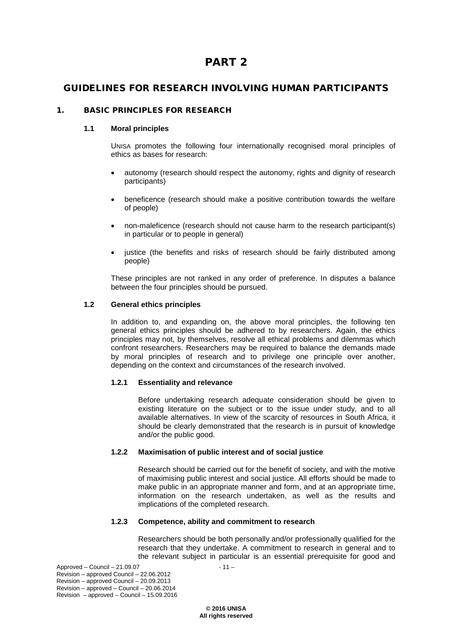# PART 2

# GUIDELINES FOR RESEARCH INVOLVING HUMAN PARTICIPANTS

# 1. BASIC PRINCIPLES FOR RESEARCH

# **1.1 Moral principles**

UNISA promotes the following four internationally recognised moral principles of ethics as bases for research:

- autonomy (research should respect the autonomy, rights and dignity of research participants)
- beneficence (research should make a positive contribution towards the welfare of people)
- non-maleficence (research should not cause harm to the research participant(s) in particular or to people in general)
- justice (the benefits and risks of research should be fairly distributed among people)

These principles are not ranked in any order of preference. In disputes a balance between the four principles should be pursued.

# **1.2 General ethics principles**

In addition to, and expanding on, the above moral principles, the following ten general ethics principles should be adhered to by researchers. Again, the ethics principles may not, by themselves, resolve all ethical problems and dilemmas which confront researchers. Researchers may be required to balance the demands made by moral principles of research and to privilege one principle over another, depending on the context and circumstances of the research involved.

# **1.2.1 Essentiality and relevance**

Before undertaking research adequate consideration should be given to existing literature on the subject or to the issue under study, and to all available alternatives. In view of the scarcity of resources in South Africa, it should be clearly demonstrated that the research is in pursuit of knowledge and/or the public good.

# **1.2.2 Maximisation of public interest and of social justice**

Research should be carried out for the benefit of society, and with the motive of maximising public interest and social justice. All efforts should be made to make public in an appropriate manner and form, and at an appropriate time, information on the research undertaken, as well as the results and implications of the completed research.

# **1.2.3 Competence, ability and commitment to research**

Researchers should be both personally and/or professionally qualified for the research that they undertake. A commitment to research in general and to the relevant subject in particular is an essential prerequisite for good and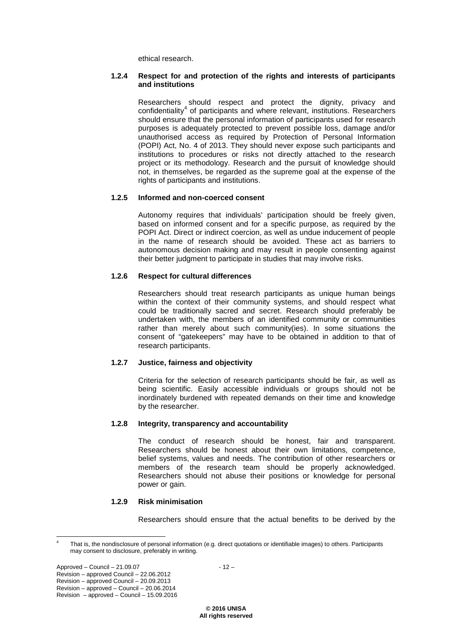ethical research.

#### **1.2.4 Respect for and protection of the rights and interests of participants and institutions**

Researchers should respect and protect the dignity, privacy and confidentiality<sup>[4](#page-13-0)</sup> of participants and where relevant, institutions. Researchers should ensure that the personal information of participants used for research purposes is adequately protected to prevent possible loss, damage and/or unauthorised access as required by Protection of Personal Information (POPI) Act, No. 4 of 2013. They should never expose such participants and institutions to procedures or risks not directly attached to the research project or its methodology. Research and the pursuit of knowledge should not, in themselves, be regarded as the supreme goal at the expense of the rights of participants and institutions.

# **1.2.5 Informed and non-coerced consent**

Autonomy requires that individuals' participation should be freely given, based on informed consent and for a specific purpose, as required by the POPI Act. Direct or indirect coercion, as well as undue inducement of people in the name of research should be avoided. These act as barriers to autonomous decision making and may result in people consenting against their better judgment to participate in studies that may involve risks.

# **1.2.6 Respect for cultural differences**

Researchers should treat research participants as unique human beings within the context of their community systems, and should respect what could be traditionally sacred and secret. Research should preferably be undertaken with, the members of an identified community or communities rather than merely about such community(ies). In some situations the consent of "gatekeepers" may have to be obtained in addition to that of research participants.

# **1.2.7 Justice, fairness and objectivity**

Criteria for the selection of research participants should be fair, as well as being scientific. Easily accessible individuals or groups should not be inordinately burdened with repeated demands on their time and knowledge by the researcher.

# **1.2.8 Integrity, transparency and accountability**

The conduct of research should be honest, fair and transparent. Researchers should be honest about their own limitations, competence, belief systems, values and needs. The contribution of other researchers or members of the research team should be properly acknowledged. Researchers should not abuse their positions or knowledge for personal power or gain.

# **1.2.9 Risk minimisation**

Researchers should ensure that the actual benefits to be derived by the

<span id="page-13-0"></span>That is, the nondisclosure of personal information (e.g. direct quotations or identifiable images) to others. Participants may consent to disclosure, preferably in writing.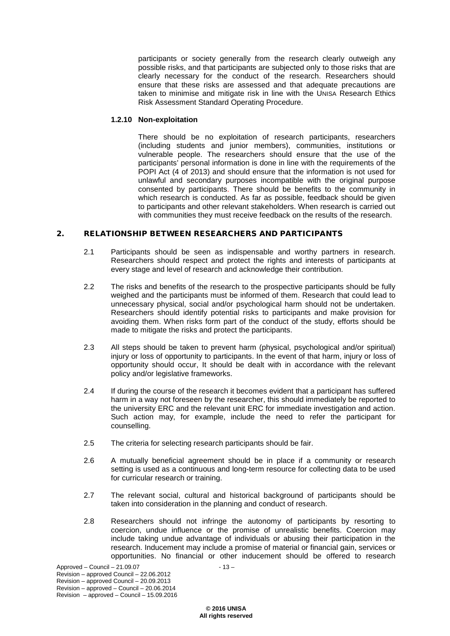participants or society generally from the research clearly outweigh any possible risks, and that participants are subjected only to those risks that are clearly necessary for the conduct of the research. Researchers should ensure that these risks are assessed and that adequate precautions are taken to minimise and mitigate risk in line with the UNISA Research Ethics Risk Assessment Standard Operating Procedure.

# **1.2.10 Non-exploitation**

There should be no exploitation of research participants, researchers (including students and junior members), communities, institutions or vulnerable people. The researchers should ensure that the use of the participants' personal information is done in line with the requirements of the POPI Act (4 of 2013) and should ensure that the information is not used for unlawful and secondary purposes incompatible with the original purpose consented by participants. There should be benefits to the community in which research is conducted. As far as possible, feedback should be given to participants and other relevant stakeholders. When research is carried out with communities they must receive feedback on the results of the research.

# 2. RELATIONSHIP BETWEEN RESEARCHERS AND PARTICIPANTS

- 2.1 Participants should be seen as indispensable and worthy partners in research. Researchers should respect and protect the rights and interests of participants at every stage and level of research and acknowledge their contribution.
- 2.2 The risks and benefits of the research to the prospective participants should be fully weighed and the participants must be informed of them. Research that could lead to unnecessary physical, social and/or psychological harm should not be undertaken. Researchers should identify potential risks to participants and make provision for avoiding them. When risks form part of the conduct of the study, efforts should be made to mitigate the risks and protect the participants.
- 2.3 All steps should be taken to prevent harm (physical, psychological and/or spiritual) injury or loss of opportunity to participants. In the event of that harm, injury or loss of opportunity should occur, It should be dealt with in accordance with the relevant policy and/or legislative frameworks.
- 2.4 If during the course of the research it becomes evident that a participant has suffered harm in a way not foreseen by the researcher, this should immediately be reported to the university ERC and the relevant unit ERC for immediate investigation and action. Such action may, for example, include the need to refer the participant for counselling.
- 2.5 The criteria for selecting research participants should be fair.
- 2.6 A mutually beneficial agreement should be in place if a community or research setting is used as a continuous and long-term resource for collecting data to be used for curricular research or training.
- 2.7 The relevant social, cultural and historical background of participants should be taken into consideration in the planning and conduct of research.
- 2.8 Researchers should not infringe the autonomy of participants by resorting to coercion, undue influence or the promise of unrealistic benefits. Coercion may include taking undue advantage of individuals or abusing their participation in the research. Inducement may include a promise of material or financial gain, services or opportunities. No financial or other inducement should be offered to research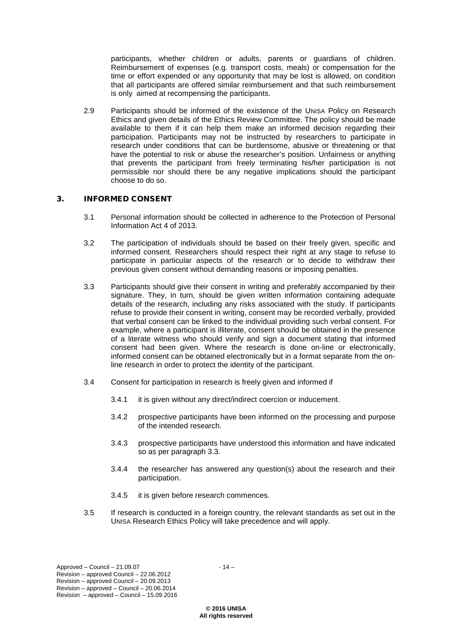participants, whether children or adults, parents or guardians of children. Reimbursement of expenses (e.g. transport costs, meals) or compensation for the time or effort expended or any opportunity that may be lost is allowed, on condition that all participants are offered similar reimbursement and that such reimbursement is only aimed at recompensing the participants.

2.9 Participants should be informed of the existence of the UNISA Policy on Research Ethics and given details of the Ethics Review Committee. The policy should be made available to them if it can help them make an informed decision regarding their participation. Participants may not be instructed by researchers to participate in research under conditions that can be burdensome, abusive or threatening or that have the potential to risk or abuse the researcher's position. Unfairness or anything that prevents the participant from freely terminating his/her participation is not permissible nor should there be any negative implications should the participant choose to do so.

### 3. INFORMED CONSENT

- 3.1 Personal information should be collected in adherence to the Protection of Personal Information Act 4 of 2013.
- 3.2 The participation of individuals should be based on their freely given, specific and informed consent. Researchers should respect their right at any stage to refuse to participate in particular aspects of the research or to decide to withdraw their previous given consent without demanding reasons or imposing penalties.
- 3.3 Participants should give their consent in writing and preferably accompanied by their signature. They, in turn, should be given written information containing adequate details of the research, including any risks associated with the study. If participants refuse to provide their consent in writing, consent may be recorded verbally, provided that verbal consent can be linked to the individual providing such verbal consent. For example, where a participant is illiterate, consent should be obtained in the presence of a literate witness who should verify and sign a document stating that informed consent had been given. Where the research is done on-line or electronically, informed consent can be obtained electronically but in a format separate from the online research in order to protect the identity of the participant.
- 3.4 Consent for participation in research is freely given and informed if
	- 3.4.1 it is given without any direct/indirect coercion or inducement.
	- 3.4.2 prospective participants have been informed on the processing and purpose of the intended research.
	- 3.4.3 prospective participants have understood this information and have indicated so as per paragraph 3.3.
	- 3.4.4 the researcher has answered any question(s) about the research and their participation.
	- 3.4.5 it is given before research commences.
- 3.5 If research is conducted in a foreign country, the relevant standards as set out in the UNISA Research Ethics Policy will take precedence and will apply.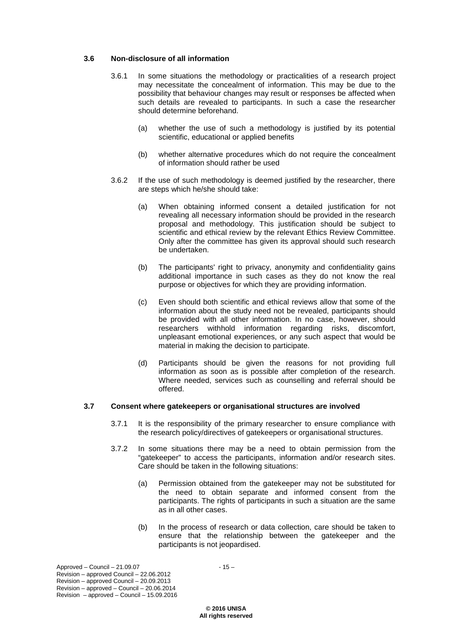# **3.6 Non-disclosure of all information**

- 3.6.1 In some situations the methodology or practicalities of a research project may necessitate the concealment of information. This may be due to the possibility that behaviour changes may result or responses be affected when such details are revealed to participants. In such a case the researcher should determine beforehand.
	- (a) whether the use of such a methodology is justified by its potential scientific, educational or applied benefits
	- (b) whether alternative procedures which do not require the concealment of information should rather be used
- 3.6.2 If the use of such methodology is deemed justified by the researcher, there are steps which he/she should take:
	- (a) When obtaining informed consent a detailed justification for not revealing all necessary information should be provided in the research proposal and methodology. This justification should be subject to scientific and ethical review by the relevant Ethics Review Committee. Only after the committee has given its approval should such research be undertaken.
	- (b) The participants' right to privacy, anonymity and confidentiality gains additional importance in such cases as they do not know the real purpose or objectives for which they are providing information.
	- (c) Even should both scientific and ethical reviews allow that some of the information about the study need not be revealed, participants should be provided with all other information. In no case, however, should researchers withhold information regarding risks, discomfort, unpleasant emotional experiences, or any such aspect that would be material in making the decision to participate.
	- (d) Participants should be given the reasons for not providing full information as soon as is possible after completion of the research. Where needed, services such as counselling and referral should be offered.

# **3.7 Consent where gatekeepers or organisational structures are involved**

- 3.7.1 It is the responsibility of the primary researcher to ensure compliance with the research policy/directives of gatekeepers or organisational structures.
- 3.7.2 In some situations there may be a need to obtain permission from the "gatekeeper" to access the participants, information and/or research sites. Care should be taken in the following situations:
	- (a) Permission obtained from the gatekeeper may not be substituted for the need to obtain separate and informed consent from the participants. The rights of participants in such a situation are the same as in all other cases.
	- (b) In the process of research or data collection, care should be taken to ensure that the relationship between the gatekeeper and the participants is not jeopardised.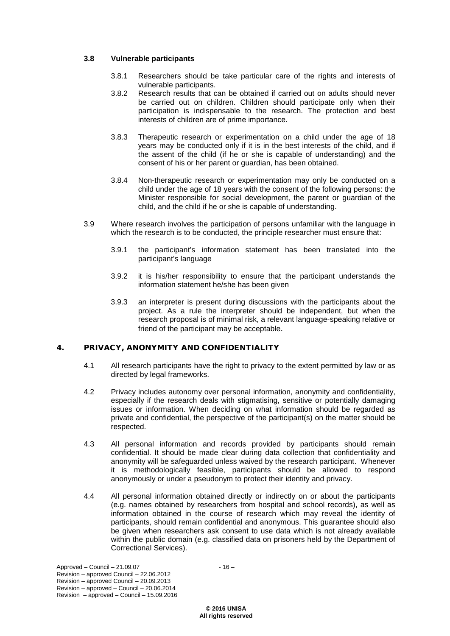# **3.8 Vulnerable participants**

- 3.8.1 Researchers should be take particular care of the rights and interests of vulnerable participants.
- 3.8.2 Research results that can be obtained if carried out on adults should never be carried out on children. Children should participate only when their participation is indispensable to the research. The protection and best interests of children are of prime importance.
- 3.8.3 Therapeutic research or experimentation on a child under the age of 18 years may be conducted only if it is in the best interests of the child, and if the assent of the child (if he or she is capable of understanding) and the consent of his or her parent or guardian, has been obtained.
- 3.8.4 Non-therapeutic research or experimentation may only be conducted on a child under the age of 18 years with the consent of the following persons: the Minister responsible for social development, the parent or guardian of the child, and the child if he or she is capable of understanding.
- 3.9 Where research involves the participation of persons unfamiliar with the language in which the research is to be conducted, the principle researcher must ensure that:
	- 3.9.1 the participant's information statement has been translated into the participant's language
	- 3.9.2 it is his/her responsibility to ensure that the participant understands the information statement he/she has been given
	- 3.9.3 an interpreter is present during discussions with the participants about the project. As a rule the interpreter should be independent, but when the research proposal is of minimal risk, a relevant language-speaking relative or friend of the participant may be acceptable.

# 4. PRIVACY, ANONYMITY AND CONFIDENTIALITY

- 4.1 All research participants have the right to privacy to the extent permitted by law or as directed by legal frameworks.
- 4.2 Privacy includes autonomy over personal information, anonymity and confidentiality, especially if the research deals with stigmatising, sensitive or potentially damaging issues or information. When deciding on what information should be regarded as private and confidential, the perspective of the participant(s) on the matter should be respected.
- 4.3 All personal information and records provided by participants should remain confidential. It should be made clear during data collection that confidentiality and anonymity will be safeguarded unless waived by the research participant. Whenever it is methodologically feasible, participants should be allowed to respond anonymously or under a pseudonym to protect their identity and privacy.
- 4.4 All personal information obtained directly or indirectly on or about the participants (e.g. names obtained by researchers from hospital and school records), as well as information obtained in the course of research which may reveal the identity of participants, should remain confidential and anonymous. This guarantee should also be given when researchers ask consent to use data which is not already available within the public domain (e.g. classified data on prisoners held by the Department of Correctional Services).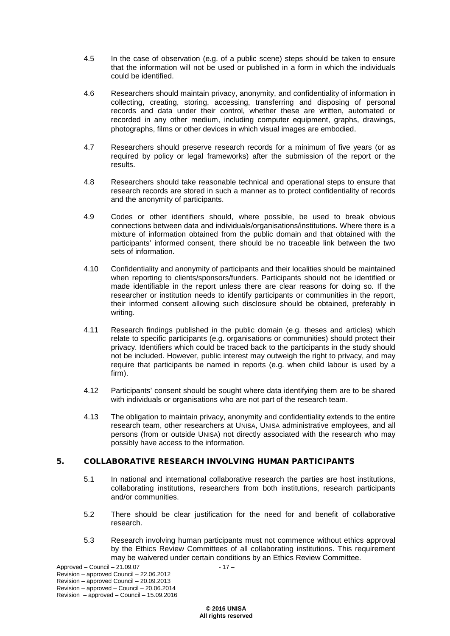- 4.5 In the case of observation (e.g. of a public scene) steps should be taken to ensure that the information will not be used or published in a form in which the individuals could be identified.
- 4.6 Researchers should maintain privacy, anonymity, and confidentiality of information in collecting, creating, storing, accessing, transferring and disposing of personal records and data under their control, whether these are written, automated or recorded in any other medium, including computer equipment, graphs, drawings, photographs, films or other devices in which visual images are embodied.
- 4.7 Researchers should preserve research records for a minimum of five years (or as required by policy or legal frameworks) after the submission of the report or the results.
- 4.8 Researchers should take reasonable technical and operational steps to ensure that research records are stored in such a manner as to protect confidentiality of records and the anonymity of participants.
- 4.9 Codes or other identifiers should, where possible, be used to break obvious connections between data and individuals/organisations/institutions. Where there is a mixture of information obtained from the public domain and that obtained with the participants' informed consent, there should be no traceable link between the two sets of information.
- 4.10 Confidentiality and anonymity of participants and their localities should be maintained when reporting to clients/sponsors/funders. Participants should not be identified or made identifiable in the report unless there are clear reasons for doing so. If the researcher or institution needs to identify participants or communities in the report, their informed consent allowing such disclosure should be obtained, preferably in writing.
- 4.11 Research findings published in the public domain (e.g. theses and articles) which relate to specific participants (e.g. organisations or communities) should protect their privacy. Identifiers which could be traced back to the participants in the study should not be included. However, public interest may outweigh the right to privacy, and may require that participants be named in reports (e.g. when child labour is used by a firm).
- 4.12 Participants' consent should be sought where data identifying them are to be shared with individuals or organisations who are not part of the research team.
- 4.13 The obligation to maintain privacy, anonymity and confidentiality extends to the entire research team, other researchers at UNISA, UNISA administrative employees, and all persons (from or outside UNISA) not directly associated with the research who may possibly have access to the information.

# 5. COLLABORATIVE RESEARCH INVOLVING HUMAN PARTICIPANTS

- 5.1 In national and international collaborative research the parties are host institutions, collaborating institutions, researchers from both institutions, research participants and/or communities.
- 5.2 There should be clear justification for the need for and benefit of collaborative research.
- 5.3 Research involving human participants must not commence without ethics approval by the Ethics Review Committees of all collaborating institutions. This requirement may be waivered under certain conditions by an Ethics Review Committee.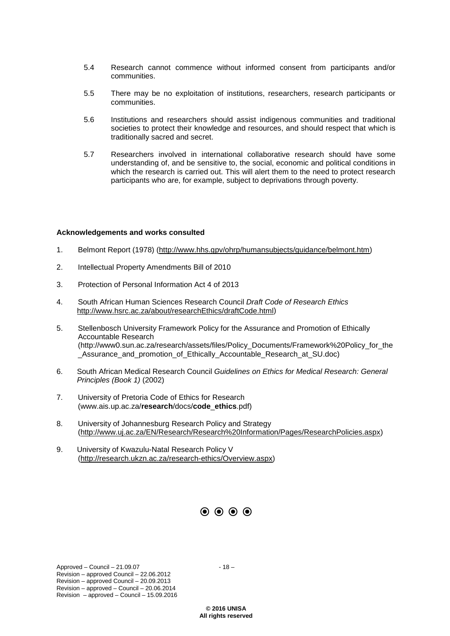- 5.4 Research cannot commence without informed consent from participants and/or communities.
- 5.5 There may be no exploitation of institutions, researchers, research participants or communities.
- 5.6 Institutions and researchers should assist indigenous communities and traditional societies to protect their knowledge and resources, and should respect that which is traditionally sacred and secret.
- 5.7 Researchers involved in international collaborative research should have some understanding of, and be sensitive to, the social, economic and political conditions in which the research is carried out. This will alert them to the need to protect research participants who are, for example, subject to deprivations through poverty.

#### **Acknowledgements and works consulted**

- 1. Belmont Report (1978) [\(http://www.hhs.gpv/ohrp/humansubjects/guidance/belmont.htm\)](http://www.hhs.gpv/ohrp/humansubjects/guidance/belmont.htm)
- 2. Intellectual Property Amendments Bill of 2010
- 3. Protection of Personal Information Act 4 of 2013
- 4. South African Human Sciences Research Council *Draft Code of Research Ethics*  [http://www.hsrc.ac.za/about/researchEthics/draftCode.html\)](http://www.hsrc.ac.za/about/researchEthics/draftCode.html)
- 5. Stellenbosch University Framework Policy for the Assurance and Promotion of Ethically Accountable Research (http://www0.sun.ac.za/research/assets/files/Policy\_Documents/Framework%20Policy\_for\_the Assurance and promotion of Ethically Accountable Research at SU.doc)
- 6. South African Medical Research Council *Guidelines on Ethics for Medical Research: General Principles (Book 1)* (2002)
- 7. University of Pretoria Code of Ethics for Research (www.ais.up.ac.za/**research**/docs/**code**\_**ethics**.pdf)
- 8. University of Johannesburg Research Policy and Strategy [\(http://www.uj.ac.za/EN/Research/Research%20Information/Pages/ResearchPolicies.aspx\)](http://www.uj.ac.za/EN/Research/Research%20Information/Pages/ResearchPolicies.aspx)
- 9. University of Kwazulu-Natal Research Policy V [\(http://research.ukzn.ac.za/research-ethics/Overview.aspx\)](http://research.ukzn.ac.za/research-ethics/Overview.aspx)



 $Approved - Council - 21.09.07 - 18 -$ Revision – approved Council – 22.06.2012 Revision – approved Council – 20.09.2013 Revision – approved – Council – 20.06.2014 Revision – approved – Council – 15.09.2016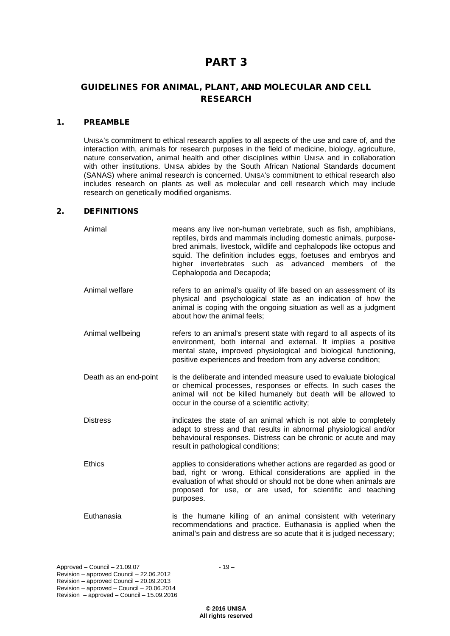# PART 3

# GUIDELINES FOR ANIMAL, PLANT, AND MOLECULAR AND CELL RESEARCH

# 1. PREAMBLE

UNISA's commitment to ethical research applies to all aspects of the use and care of, and the interaction with, animals for research purposes in the field of medicine, biology, agriculture, nature conservation, animal health and other disciplines within UNISA and in collaboration with other institutions. UNISA abides by the South African National Standards document (SANAS) where animal research is concerned. UNISA's commitment to ethical research also includes research on plants as well as molecular and cell research which may include research on genetically modified organisms.

# 2. DEFINITIONS

| Animal                | means any live non-human vertebrate, such as fish, amphibians,<br>reptiles, birds and mammals including domestic animals, purpose-<br>bred animals, livestock, wildlife and cephalopods like octopus and<br>squid. The definition includes eggs, foetuses and embryos and<br>higher invertebrates such as advanced members of the<br>Cephalopoda and Decapoda; |
|-----------------------|----------------------------------------------------------------------------------------------------------------------------------------------------------------------------------------------------------------------------------------------------------------------------------------------------------------------------------------------------------------|
| Animal welfare        | refers to an animal's quality of life based on an assessment of its<br>physical and psychological state as an indication of how the<br>animal is coping with the ongoing situation as well as a judgment<br>about how the animal feels;                                                                                                                        |
| Animal wellbeing      | refers to an animal's present state with regard to all aspects of its<br>environment, both internal and external. It implies a positive<br>mental state, improved physiological and biological functioning,<br>positive experiences and freedom from any adverse condition;                                                                                    |
| Death as an end-point | is the deliberate and intended measure used to evaluate biological<br>or chemical processes, responses or effects. In such cases the<br>animal will not be killed humanely but death will be allowed to<br>occur in the course of a scientific activity;                                                                                                       |
| <b>Distress</b>       | indicates the state of an animal which is not able to completely<br>adapt to stress and that results in abnormal physiological and/or<br>behavioural responses. Distress can be chronic or acute and may<br>result in pathological conditions;                                                                                                                 |
| <b>Ethics</b>         | applies to considerations whether actions are regarded as good or<br>bad, right or wrong. Ethical considerations are applied in the<br>evaluation of what should or should not be done when animals are<br>proposed for use, or are used, for scientific and teaching<br>purposes.                                                                             |
| Euthanasia            | is the humane killing of an animal consistent with veterinary<br>recommendations and practice. Euthanasia is applied when the<br>animal's pain and distress are so acute that it is judged necessary;                                                                                                                                                          |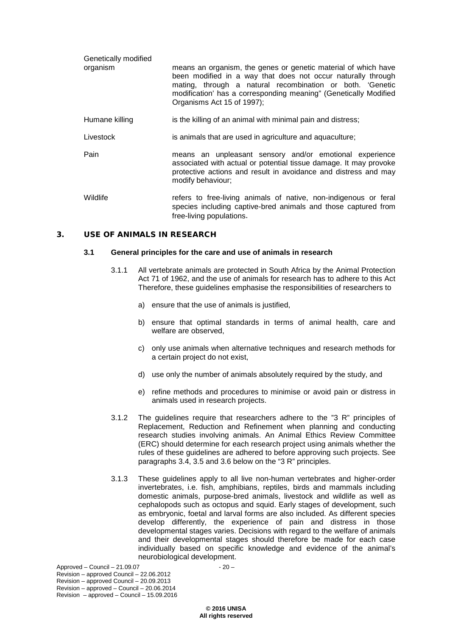| Genetically modified |                                                                                                                                                                                                                                                                                               |
|----------------------|-----------------------------------------------------------------------------------------------------------------------------------------------------------------------------------------------------------------------------------------------------------------------------------------------|
| organism             | means an organism, the genes or genetic material of which have<br>been modified in a way that does not occur naturally through<br>mating, through a natural recombination or both. 'Genetic<br>modification' has a corresponding meaning" (Genetically Modified<br>Organisms Act 15 of 1997); |
| Humane killing       | is the killing of an animal with minimal pain and distress;                                                                                                                                                                                                                                   |
| Livestock            | is animals that are used in agriculture and aquaculture;                                                                                                                                                                                                                                      |
| Pain                 | means an unpleasant sensory and/or emotional experience<br>associated with actual or potential tissue damage. It may provoke<br>protective actions and result in avoidance and distress and may<br>modify behaviour;                                                                          |
| Wildlife             | refers to free-living animals of native, non-indigenous or feral<br>species including captive-bred animals and those captured from<br>free-living populations.                                                                                                                                |

### 3. USE OF ANIMALS IN RESEARCH

#### **3.1 General principles for the care and use of animals in research**

- 3.1.1 All vertebrate animals are protected in South Africa by the Animal Protection Act 71 of 1962, and the use of animals for research has to adhere to this Act Therefore, these guidelines emphasise the responsibilities of researchers to
	- a) ensure that the use of animals is justified,
	- b) ensure that optimal standards in terms of animal health, care and welfare are observed,
	- c) only use animals when alternative techniques and research methods for a certain project do not exist,
	- d) use only the number of animals absolutely required by the study, and
	- e) refine methods and procedures to minimise or avoid pain or distress in animals used in research projects.
- 3.1.2 The guidelines require that researchers adhere to the "3 R" principles of Replacement, Reduction and Refinement when planning and conducting research studies involving animals. An Animal Ethics Review Committee (ERC) should determine for each research project using animals whether the rules of these guidelines are adhered to before approving such projects. See paragraphs 3.4, 3.5 and 3.6 below on the "3 R" principles.
- 3.1.3 These guidelines apply to all live non-human vertebrates and higher-order invertebrates, i.e. fish, amphibians, reptiles, birds and mammals including domestic animals, purpose-bred animals, livestock and wildlife as well as cephalopods such as octopus and squid. Early stages of development, such as embryonic, foetal and larval forms are also included. As different species develop differently, the experience of pain and distress in those developmental stages varies. Decisions with regard to the welfare of animals and their developmental stages should therefore be made for each case individually based on specific knowledge and evidence of the animal's neurobiological development.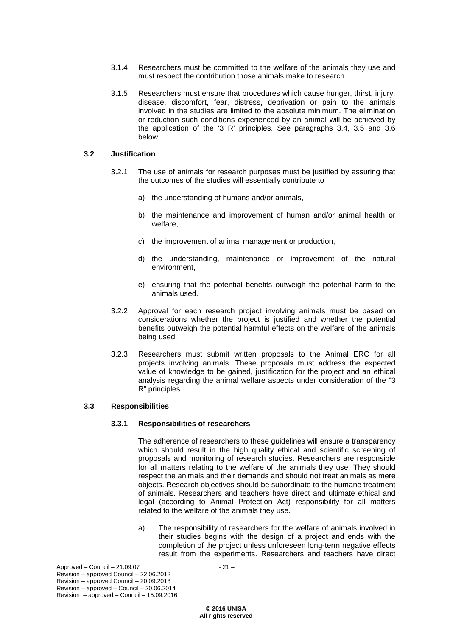- 3.1.4 Researchers must be committed to the welfare of the animals they use and must respect the contribution those animals make to research.
- 3.1.5 Researchers must ensure that procedures which cause hunger, thirst, injury, disease, discomfort, fear, distress, deprivation or pain to the animals involved in the studies are limited to the absolute minimum. The elimination or reduction such conditions experienced by an animal will be achieved by the application of the '3 R' principles. See paragraphs 3.4, 3.5 and 3.6 below.

#### **3.2 Justification**

- 3.2.1 The use of animals for research purposes must be justified by assuring that the outcomes of the studies will essentially contribute to
	- a) the understanding of humans and/or animals,
	- b) the maintenance and improvement of human and/or animal health or welfare,
	- c) the improvement of animal management or production,
	- d) the understanding, maintenance or improvement of the natural environment,
	- e) ensuring that the potential benefits outweigh the potential harm to the animals used.
- 3.2.2 Approval for each research project involving animals must be based on considerations whether the project is justified and whether the potential benefits outweigh the potential harmful effects on the welfare of the animals being used.
- 3.2.3 Researchers must submit written proposals to the Animal ERC for all projects involving animals. These proposals must address the expected value of knowledge to be gained, justification for the project and an ethical analysis regarding the animal welfare aspects under consideration of the "3 R" principles.

#### **3.3 Responsibilities**

#### **3.3.1 Responsibilities of researchers**

The adherence of researchers to these guidelines will ensure a transparency which should result in the high quality ethical and scientific screening of proposals and monitoring of research studies. Researchers are responsible for all matters relating to the welfare of the animals they use. They should respect the animals and their demands and should not treat animals as mere objects. Research objectives should be subordinate to the humane treatment of animals. Researchers and teachers have direct and ultimate ethical and legal (according to Animal Protection Act) responsibility for all matters related to the welfare of the animals they use.

a) The responsibility of researchers for the welfare of animals involved in their studies begins with the design of a project and ends with the completion of the project unless unforeseen long-term negative effects result from the experiments. Researchers and teachers have direct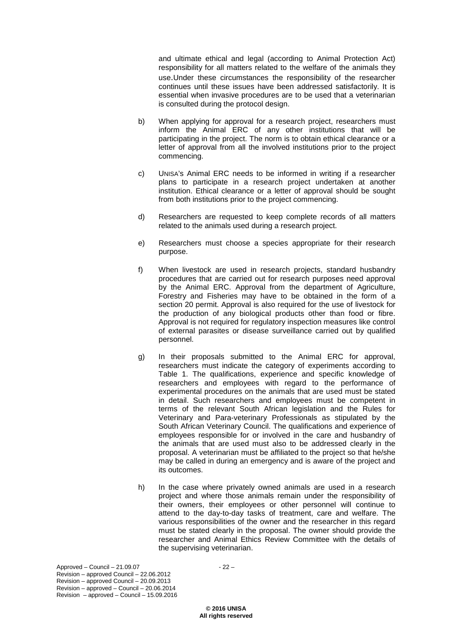and ultimate ethical and legal (according to Animal Protection Act) responsibility for all matters related to the welfare of the animals they use.Under these circumstances the responsibility of the researcher continues until these issues have been addressed satisfactorily. It is essential when invasive procedures are to be used that a veterinarian is consulted during the protocol design.

- b) When applying for approval for a research project, researchers must inform the Animal ERC of any other institutions that will be participating in the project. The norm is to obtain ethical clearance or a letter of approval from all the involved institutions prior to the project commencing.
- c) UNISA's Animal ERC needs to be informed in writing if a researcher plans to participate in a research project undertaken at another institution. Ethical clearance or a letter of approval should be sought from both institutions prior to the project commencing.
- d) Researchers are requested to keep complete records of all matters related to the animals used during a research project.
- e) Researchers must choose a species appropriate for their research purpose.
- f) When livestock are used in research projects, standard husbandry procedures that are carried out for research purposes need approval by the Animal ERC. Approval from the department of Agriculture, Forestry and Fisheries may have to be obtained in the form of a section 20 permit. Approval is also required for the use of livestock for the production of any biological products other than food or fibre. Approval is not required for regulatory inspection measures like control of external parasites or disease surveillance carried out by qualified personnel.
- g) In their proposals submitted to the Animal ERC for approval, researchers must indicate the category of experiments according to Table 1. The qualifications, experience and specific knowledge of researchers and employees with regard to the performance of experimental procedures on the animals that are used must be stated in detail. Such researchers and employees must be competent in terms of the relevant South African legislation and the Rules for Veterinary and Para-veterinary Professionals as stipulated by the South African Veterinary Council. The qualifications and experience of employees responsible for or involved in the care and husbandry of the animals that are used must also to be addressed clearly in the proposal. A veterinarian must be affiliated to the project so that he/she may be called in during an emergency and is aware of the project and its outcomes.
- h) In the case where privately owned animals are used in a research project and where those animals remain under the responsibility of their owners, their employees or other personnel will continue to attend to the day-to-day tasks of treatment, care and welfare. The various responsibilities of the owner and the researcher in this regard must be stated clearly in the proposal. The owner should provide the researcher and Animal Ethics Review Committee with the details of the supervising veterinarian.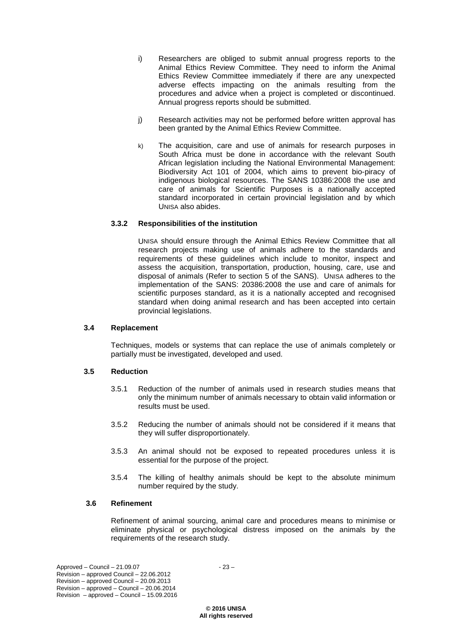- i) Researchers are obliged to submit annual progress reports to the Animal Ethics Review Committee. They need to inform the Animal Ethics Review Committee immediately if there are any unexpected adverse effects impacting on the animals resulting from the procedures and advice when a project is completed or discontinued. Annual progress reports should be submitted.
- j) Research activities may not be performed before written approval has been granted by the Animal Ethics Review Committee.
- k) The acquisition, care and use of animals for research purposes in South Africa must be done in accordance with the relevant South African legislation including the National Environmental Management: Biodiversity Act 101 of 2004, which aims to prevent bio-piracy of indigenous biological resources. The SANS 10386:2008 the use and care of animals for Scientific Purposes is a nationally accepted standard incorporated in certain provincial legislation and by which UNISA also abides.

### **3.3.2 Responsibilities of the institution**

UNISA should ensure through the Animal Ethics Review Committee that all research projects making use of animals adhere to the standards and requirements of these guidelines which include to monitor, inspect and assess the acquisition, transportation, production, housing, care, use and disposal of animals (Refer to section 5 of the SANS). UNISA adheres to the implementation of the SANS: 20386:2008 the use and care of animals for scientific purposes standard, as it is a nationally accepted and recognised standard when doing animal research and has been accepted into certain provincial legislations.

#### **3.4 Replacement**

Techniques, models or systems that can replace the use of animals completely or partially must be investigated, developed and used.

#### **3.5 Reduction**

- 3.5.1 Reduction of the number of animals used in research studies means that only the minimum number of animals necessary to obtain valid information or results must be used.
- 3.5.2 Reducing the number of animals should not be considered if it means that they will suffer disproportionately.
- 3.5.3 An animal should not be exposed to repeated procedures unless it is essential for the purpose of the project.
- 3.5.4 The killing of healthy animals should be kept to the absolute minimum number required by the study.

#### **3.6 Refinement**

Refinement of animal sourcing, animal care and procedures means to minimise or eliminate physical or psychological distress imposed on the animals by the requirements of the research study.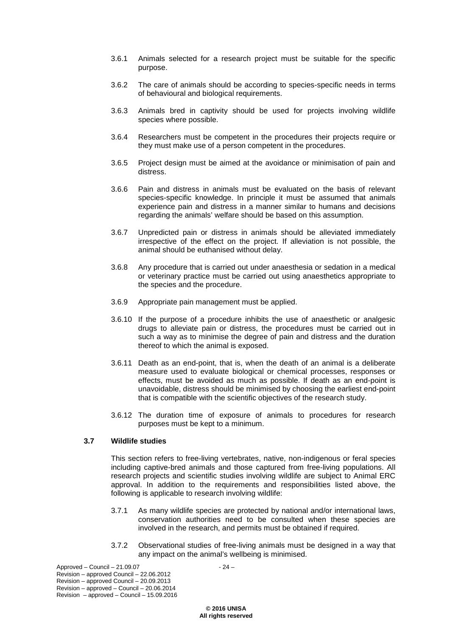- 3.6.1 Animals selected for a research project must be suitable for the specific purpose.
- 3.6.2 The care of animals should be according to species-specific needs in terms of behavioural and biological requirements.
- 3.6.3 Animals bred in captivity should be used for projects involving wildlife species where possible.
- 3.6.4 Researchers must be competent in the procedures their projects require or they must make use of a person competent in the procedures.
- 3.6.5 Project design must be aimed at the avoidance or minimisation of pain and distress.
- 3.6.6 Pain and distress in animals must be evaluated on the basis of relevant species-specific knowledge. In principle it must be assumed that animals experience pain and distress in a manner similar to humans and decisions regarding the animals' welfare should be based on this assumption.
- 3.6.7 Unpredicted pain or distress in animals should be alleviated immediately irrespective of the effect on the project. If alleviation is not possible, the animal should be euthanised without delay.
- 3.6.8 Any procedure that is carried out under anaesthesia or sedation in a medical or veterinary practice must be carried out using anaesthetics appropriate to the species and the procedure.
- 3.6.9 Appropriate pain management must be applied.
- 3.6.10 If the purpose of a procedure inhibits the use of anaesthetic or analgesic drugs to alleviate pain or distress, the procedures must be carried out in such a way as to minimise the degree of pain and distress and the duration thereof to which the animal is exposed.
- 3.6.11 Death as an end-point, that is, when the death of an animal is a deliberate measure used to evaluate biological or chemical processes, responses or effects, must be avoided as much as possible. If death as an end-point is unavoidable, distress should be minimised by choosing the earliest end-point that is compatible with the scientific objectives of the research study.
- 3.6.12 The duration time of exposure of animals to procedures for research purposes must be kept to a minimum.

# **3.7 Wildlife studies**

This section refers to free-living vertebrates, native, non-indigenous or feral species including captive-bred animals and those captured from free-living populations. All research projects and scientific studies involving wildlife are subject to Animal ERC approval. In addition to the requirements and responsibilities listed above, the following is applicable to research involving wildlife:

- 3.7.1 As many wildlife species are protected by national and/or international laws, conservation authorities need to be consulted when these species are involved in the research, and permits must be obtained if required.
- 3.7.2 Observational studies of free-living animals must be designed in a way that any impact on the animal's wellbeing is minimised.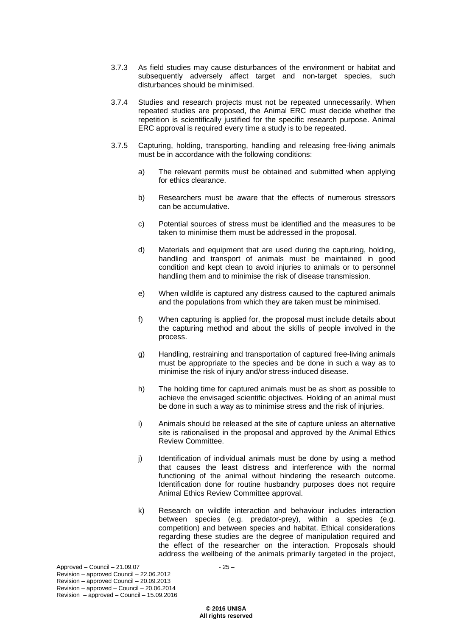- 3.7.3 As field studies may cause disturbances of the environment or habitat and subsequently adversely affect target and non-target species, such disturbances should be minimised.
- 3.7.4 Studies and research projects must not be repeated unnecessarily. When repeated studies are proposed, the Animal ERC must decide whether the repetition is scientifically justified for the specific research purpose. Animal ERC approval is required every time a study is to be repeated.
- 3.7.5 Capturing, holding, transporting, handling and releasing free-living animals must be in accordance with the following conditions:
	- a) The relevant permits must be obtained and submitted when applying for ethics clearance.
	- b) Researchers must be aware that the effects of numerous stressors can be accumulative.
	- c) Potential sources of stress must be identified and the measures to be taken to minimise them must be addressed in the proposal.
	- d) Materials and equipment that are used during the capturing, holding, handling and transport of animals must be maintained in good condition and kept clean to avoid injuries to animals or to personnel handling them and to minimise the risk of disease transmission.
	- e) When wildlife is captured any distress caused to the captured animals and the populations from which they are taken must be minimised.
	- f) When capturing is applied for, the proposal must include details about the capturing method and about the skills of people involved in the process.
	- g) Handling, restraining and transportation of captured free-living animals must be appropriate to the species and be done in such a way as to minimise the risk of injury and/or stress-induced disease.
	- h) The holding time for captured animals must be as short as possible to achieve the envisaged scientific objectives. Holding of an animal must be done in such a way as to minimise stress and the risk of injuries.
	- i) Animals should be released at the site of capture unless an alternative site is rationalised in the proposal and approved by the Animal Ethics Review Committee.
	- j) Identification of individual animals must be done by using a method that causes the least distress and interference with the normal functioning of the animal without hindering the research outcome. Identification done for routine husbandry purposes does not require Animal Ethics Review Committee approval.
	- k) Research on wildlife interaction and behaviour includes interaction between species (e.g. predator-prey), within a species (e.g. competition) and between species and habitat. Ethical considerations regarding these studies are the degree of manipulation required and the effect of the researcher on the interaction. Proposals should address the wellbeing of the animals primarily targeted in the project,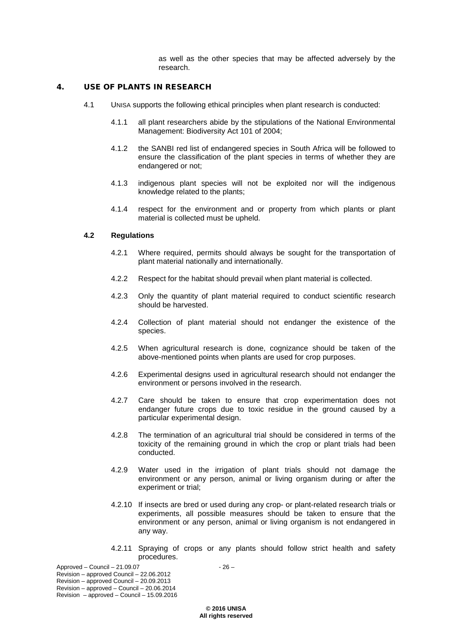as well as the other species that may be affected adversely by the research.

### 4. USE OF PLANTS IN RESEARCH

- 4.1 UNISA supports the following ethical principles when plant research is conducted:
	- 4.1.1 all plant researchers abide by the stipulations of the National Environmental Management: Biodiversity Act 101 of 2004;
	- 4.1.2 the SANBI red list of endangered species in South Africa will be followed to ensure the classification of the plant species in terms of whether they are endangered or not;
	- 4.1.3 indigenous plant species will not be exploited nor will the indigenous knowledge related to the plants;
	- 4.1.4 respect for the environment and or property from which plants or plant material is collected must be upheld.

### **4.2 Regulations**

- 4.2.1 Where required, permits should always be sought for the transportation of plant material nationally and internationally.
- 4.2.2 Respect for the habitat should prevail when plant material is collected.
- 4.2.3 Only the quantity of plant material required to conduct scientific research should be harvested.
- 4.2.4 Collection of plant material should not endanger the existence of the species.
- 4.2.5 When agricultural research is done, cognizance should be taken of the above-mentioned points when plants are used for crop purposes.
- 4.2.6 Experimental designs used in agricultural research should not endanger the environment or persons involved in the research.
- 4.2.7 Care should be taken to ensure that crop experimentation does not endanger future crops due to toxic residue in the ground caused by a particular experimental design.
- 4.2.8 The termination of an agricultural trial should be considered in terms of the toxicity of the remaining ground in which the crop or plant trials had been conducted.
- 4.2.9 Water used in the irrigation of plant trials should not damage the environment or any person, animal or living organism during or after the experiment or trial;
- 4.2.10 If insects are bred or used during any crop- or plant-related research trials or experiments, all possible measures should be taken to ensure that the environment or any person, animal or living organism is not endangered in any way.
- 4.2.11 Spraying of crops or any plants should follow strict health and safety procedures.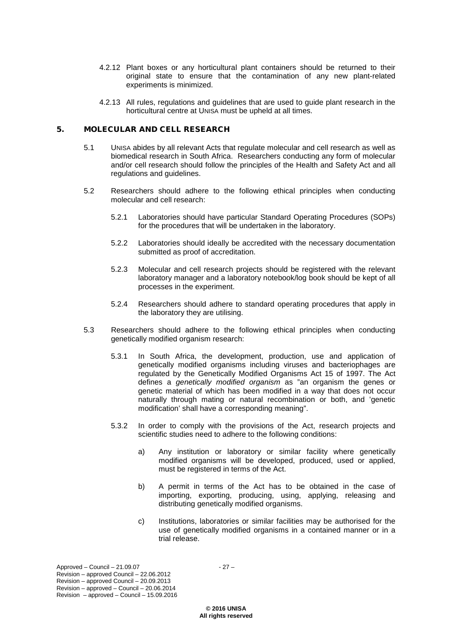- 4.2.12 Plant boxes or any horticultural plant containers should be returned to their original state to ensure that the contamination of any new plant-related experiments is minimized.
- 4.2.13 All rules, regulations and guidelines that are used to guide plant research in the horticultural centre at UNISA must be upheld at all times.

#### 5. MOLECULAR AND CELL RESEARCH

- 5.1 UNISA abides by all relevant Acts that regulate molecular and cell research as well as biomedical research in South Africa. Researchers conducting any form of molecular and/or cell research should follow the principles of the Health and Safety Act and all regulations and guidelines.
- 5.2 Researchers should adhere to the following ethical principles when conducting molecular and cell research:
	- 5.2.1 Laboratories should have particular Standard Operating Procedures (SOPs) for the procedures that will be undertaken in the laboratory.
	- 5.2.2 Laboratories should ideally be accredited with the necessary documentation submitted as proof of accreditation.
	- 5.2.3 Molecular and cell research projects should be registered with the relevant laboratory manager and a laboratory notebook/log book should be kept of all processes in the experiment.
	- 5.2.4 Researchers should adhere to standard operating procedures that apply in the laboratory they are utilising.
- 5.3 Researchers should adhere to the following ethical principles when conducting genetically modified organism research:
	- 5.3.1 In South Africa, the development, production, use and application of genetically modified organisms including viruses and bacteriophages are regulated by the Genetically Modified Organisms Act 15 of 1997. The Act defines a *genetically modified organism* as "an organism the genes or genetic material of which has been modified in a way that does not occur naturally through mating or natural recombination or both, and 'genetic modification' shall have a corresponding meaning".
	- 5.3.2 In order to comply with the provisions of the Act, research projects and scientific studies need to adhere to the following conditions:
		- a) Any institution or laboratory or similar facility where genetically modified organisms will be developed, produced, used or applied, must be registered in terms of the Act.
		- b) A permit in terms of the Act has to be obtained in the case of importing, exporting, producing, using, applying, releasing and distributing genetically modified organisms.
		- c) Institutions, laboratories or similar facilities may be authorised for the use of genetically modified organisms in a contained manner or in a trial release.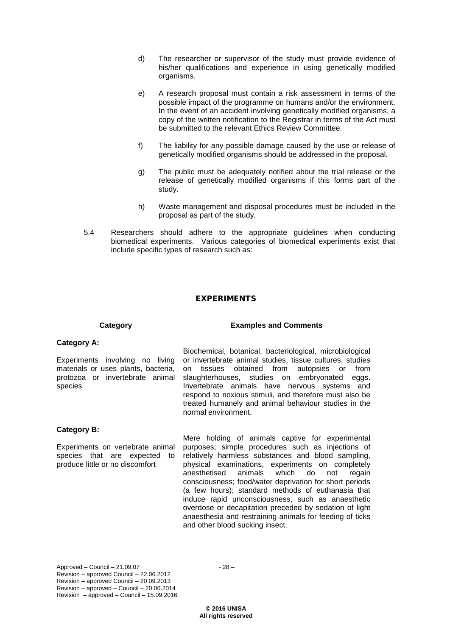- d) The researcher or supervisor of the study must provide evidence of his/her qualifications and experience in using genetically modified organisms.
- e) A research proposal must contain a risk assessment in terms of the possible impact of the programme on humans and/or the environment. In the event of an accident involving genetically modified organisms, a copy of the written notification to the Registrar in terms of the Act must be submitted to the relevant Ethics Review Committee.
- f) The liability for any possible damage caused by the use or release of genetically modified organisms should be addressed in the proposal.
- g) The public must be adequately notified about the trial release or the release of genetically modified organisms if this forms part of the study.
- h) Waste management and disposal procedures must be included in the proposal as part of the study.
- 5.4 Researchers should adhere to the appropriate guidelines when conducting biomedical experiments. Various categories of biomedical experiments exist that include specific types of research such as:

# EXPERIMENTS

# **Category Examples and Comments**

# **Category A:**

Experiments involving no living materials or uses plants, bacteria, protozoa or invertebrate animal species

Biochemical, botanical, bacteriological, microbiological or invertebrate animal studies, tissue cultures, studies on tissues obtained from autopsies or from slaughterhouses, studies on embryonated eggs, Invertebrate animals have nervous systems and respond to noxious stimuli, and therefore must also be treated humanely and animal behaviour studies in the normal environment.

# **Category B:**

Experiments on vertebrate animal species that are expected to produce little or no discomfort

Mere holding of animals captive for experimental purposes; simple procedures such as injections of relatively harmless substances and blood sampling, physical examinations, experiments on completely anesthetised animals which do not regain consciousness; food/water deprivation for short periods (a few hours); standard methods of euthanasia that induce rapid unconsciousness, such as anaesthetic overdose or decapitation preceded by sedation of light anaesthesia and restraining animals for feeding of ticks and other blood sucking insect.

 $Approved - Council - 21.09.07 - 28 -$ Revision – approved Council – 22.06.2012 Revision – approved Council – 20.09.2013 Revision – approved – Council – 20.06.2014 Revision – approved – Council – 15.09.2016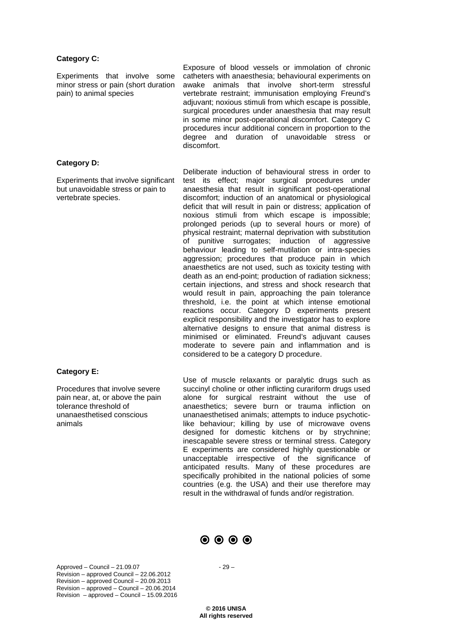#### **Category C:**

Experiments that involve some minor stress or pain (short duration pain) to animal species

Exposure of blood vessels or immolation of chronic catheters with anaesthesia; behavioural experiments on awake animals that involve short-term stressful vertebrate restraint; immunisation employing Freund's adjuvant; noxious stimuli from which escape is possible, surgical procedures under anaesthesia that may result in some minor post-operational discomfort. Category C procedures incur additional concern in proportion to the degree and duration of unavoidable stress or discomfort.

#### **Category D:**

Experiments that involve significant but unavoidable stress or pain to vertebrate species.

**Category E:**

Procedures that involve severe pain near, at, or above the pain tolerance threshold of unanaesthetised conscious animals

Deliberate induction of behavioural stress in order to test its effect; major surgical procedures under anaesthesia that result in significant post-operational discomfort; induction of an anatomical or physiological deficit that will result in pain or distress; application of noxious stimuli from which escape is impossible; prolonged periods (up to several hours or more) of physical restraint; maternal deprivation with substitution of punitive surrogates; induction of aggressive behaviour leading to self-mutilation or intra-species aggression; procedures that produce pain in which anaesthetics are not used, such as toxicity testing with death as an end-point; production of radiation sickness; certain injections, and stress and shock research that would result in pain, approaching the pain tolerance threshold, i.e. the point at which intense emotional reactions occur. Category D experiments present explicit responsibility and the investigator has to explore alternative designs to ensure that animal distress is minimised or eliminated. Freund's adjuvant causes moderate to severe pain and inflammation and is considered to be a category D procedure.

Use of muscle relaxants or paralytic drugs such as succinyl choline or other inflicting curariform drugs used alone for surgical restraint without the use of anaesthetics; severe burn or trauma infliction on unanaesthetised animals; attempts to induce psychoticlike behaviour; killing by use of microwave ovens designed for domestic kitchens or by strychnine; inescapable severe stress or terminal stress. Category E experiments are considered highly questionable or unacceptable irrespective of the significance of anticipated results. Many of these procedures are specifically prohibited in the national policies of some countries (e.g. the USA) and their use therefore may result in the withdrawal of funds and/or registration.



 $Approved - Council - 21.09.07 - 29 -$ Revision – approved Council – 22.06.2012 Revision – approved Council – 20.09.2013 Revision – approved – Council – 20.06.2014 Revision – approved – Council – 15.09.2016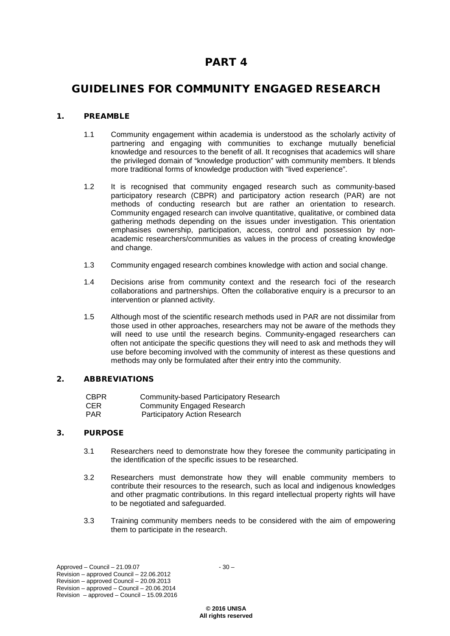# PART 4

# GUIDELINES FOR COMMUNITY ENGAGED RESEARCH

# 1. PREAMBLE

- 1.1 Community engagement within academia is understood as the scholarly activity of partnering and engaging with communities to exchange mutually beneficial knowledge and resources to the benefit of all. It recognises that academics will share the privileged domain of "knowledge production" with community members. It blends more traditional forms of knowledge production with "lived experience".
- 1.2 It is recognised that community engaged research such as community-based participatory research (CBPR) and participatory action research (PAR) are not methods of conducting research but are rather an orientation to research. Community engaged research can involve quantitative, qualitative, or combined data gathering methods depending on the issues under investigation. This orientation emphasises ownership, participation, access, control and possession by nonacademic researchers/communities as values in the process of creating knowledge and change.
- 1.3 Community engaged research combines knowledge with action and social change.
- 1.4 Decisions arise from community context and the research foci of the research collaborations and partnerships. Often the collaborative enquiry is a precursor to an intervention or planned activity.
- 1.5 Although most of the scientific research methods used in PAR are not dissimilar from those used in other approaches, researchers may not be aware of the methods they will need to use until the research begins. Community-engaged researchers can often not anticipate the specific questions they will need to ask and methods they will use before becoming involved with the community of interest as these questions and methods may only be formulated after their entry into the community.

# 2. ABBREVIATIONS

| <b>CBPR</b> | Community-based Participatory Research |
|-------------|----------------------------------------|
| <b>CER</b>  | Community Engaged Research             |
| <b>PAR</b>  | Participatory Action Research          |

# 3. PURPOSE

- 3.1 Researchers need to demonstrate how they foresee the community participating in the identification of the specific issues to be researched.
- 3.2 Researchers must demonstrate how they will enable community members to contribute their resources to the research, such as local and indigenous knowledges and other pragmatic contributions. In this regard intellectual property rights will have to be negotiated and safeguarded.
- 3.3 Training community members needs to be considered with the aim of empowering them to participate in the research.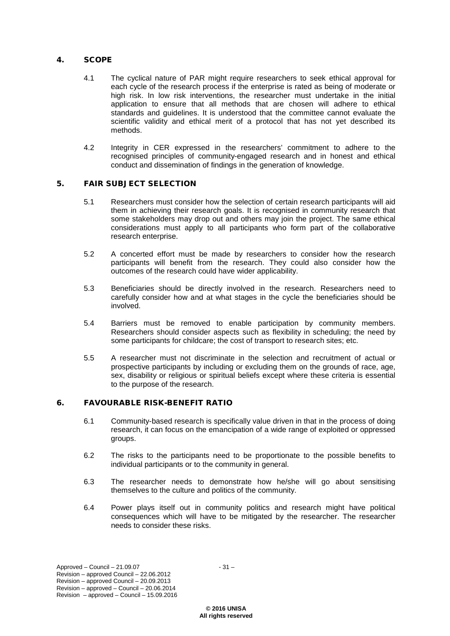## 4. SCOPE

- 4.1 The cyclical nature of PAR might require researchers to seek ethical approval for each cycle of the research process if the enterprise is rated as being of moderate or high risk. In low risk interventions, the researcher must undertake in the initial application to ensure that all methods that are chosen will adhere to ethical standards and guidelines. It is understood that the committee cannot evaluate the scientific validity and ethical merit of a protocol that has not yet described its methods.
- 4.2 Integrity in CER expressed in the researchers' commitment to adhere to the recognised principles of community-engaged research and in honest and ethical conduct and dissemination of findings in the generation of knowledge.

# 5. FAIR SUBJECT SELECTION

- 5.1 Researchers must consider how the selection of certain research participants will aid them in achieving their research goals. It is recognised in community research that some stakeholders may drop out and others may join the project. The same ethical considerations must apply to all participants who form part of the collaborative research enterprise.
- 5.2 A concerted effort must be made by researchers to consider how the research participants will benefit from the research. They could also consider how the outcomes of the research could have wider applicability.
- 5.3 Beneficiaries should be directly involved in the research. Researchers need to carefully consider how and at what stages in the cycle the beneficiaries should be involved.
- 5.4 Barriers must be removed to enable participation by community members. Researchers should consider aspects such as flexibility in scheduling; the need by some participants for childcare; the cost of transport to research sites; etc.
- 5.5 A researcher must not discriminate in the selection and recruitment of actual or prospective participants by including or excluding them on the grounds of race, age, sex, disability or religious or spiritual beliefs except where these criteria is essential to the purpose of the research.

# 6. FAVOURABLE RISK-BENEFIT RATIO

- 6.1 Community-based research is specifically value driven in that in the process of doing research, it can focus on the emancipation of a wide range of exploited or oppressed groups.
- 6.2 The risks to the participants need to be proportionate to the possible benefits to individual participants or to the community in general.
- 6.3 The researcher needs to demonstrate how he/she will go about sensitising themselves to the culture and politics of the community.
- 6.4 Power plays itself out in community politics and research might have political consequences which will have to be mitigated by the researcher. The researcher needs to consider these risks.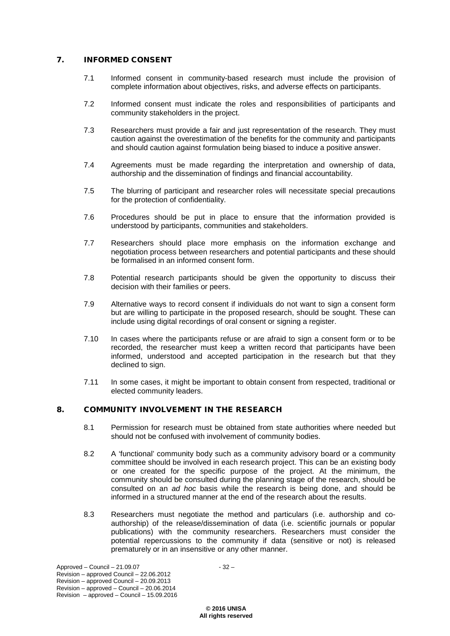# 7. INFORMED CONSENT

- 7.1 Informed consent in community-based research must include the provision of complete information about objectives, risks, and adverse effects on participants.
- 7.2 Informed consent must indicate the roles and responsibilities of participants and community stakeholders in the project.
- 7.3 Researchers must provide a fair and just representation of the research. They must caution against the overestimation of the benefits for the community and participants and should caution against formulation being biased to induce a positive answer.
- 7.4 Agreements must be made regarding the interpretation and ownership of data, authorship and the dissemination of findings and financial accountability.
- 7.5 The blurring of participant and researcher roles will necessitate special precautions for the protection of confidentiality.
- 7.6 Procedures should be put in place to ensure that the information provided is understood by participants, communities and stakeholders.
- 7.7 Researchers should place more emphasis on the information exchange and negotiation process between researchers and potential participants and these should be formalised in an informed consent form.
- 7.8 Potential research participants should be given the opportunity to discuss their decision with their families or peers.
- 7.9 Alternative ways to record consent if individuals do not want to sign a consent form but are willing to participate in the proposed research, should be sought. These can include using digital recordings of oral consent or signing a register.
- 7.10 In cases where the participants refuse or are afraid to sign a consent form or to be recorded, the researcher must keep a written record that participants have been informed, understood and accepted participation in the research but that they declined to sign.
- 7.11 In some cases, it might be important to obtain consent from respected, traditional or elected community leaders.

# 8. COMMUNITY INVOLVEMENT IN THE RESEARCH

- 8.1 Permission for research must be obtained from state authorities where needed but should not be confused with involvement of community bodies.
- 8.2 A 'functional' community body such as a community advisory board or a community committee should be involved in each research project. This can be an existing body or one created for the specific purpose of the project. At the minimum, the community should be consulted during the planning stage of the research, should be consulted on an *ad hoc* basis while the research is being done, and should be informed in a structured manner at the end of the research about the results.
- 8.3 Researchers must negotiate the method and particulars (i.e. authorship and coauthorship) of the release/dissemination of data (i.e. scientific journals or popular publications) with the community researchers. Researchers must consider the potential repercussions to the community if data (sensitive or not) is released prematurely or in an insensitive or any other manner.